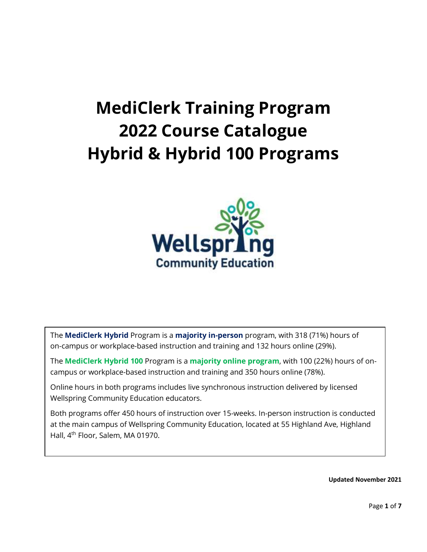# **MediClerk Training Program 2022 Course Catalogue Hybrid & Hybrid 100 Programs**



The **MediClerk Hybrid** Program is a **majority in-person** program, with 318 (71%) hours of on-campus or workplace-based instruction and training and 132 hours online (29%).

The **MediClerk Hybrid 100** Program is a **majority online program**, with 100 (22%) hours of oncampus or workplace-based instruction and training and 350 hours online (78%).

Online hours in both programs includes live synchronous instruction delivered by licensed Wellspring Community Education educators.

Both programs offer 450 hours of instruction over 15-weeks. In-person instruction is conducted at the main campus of Wellspring Community Education, located at 55 Highland Ave, Highland Hall, 4th Floor, Salem, MA 01970.

**Updated November 2021**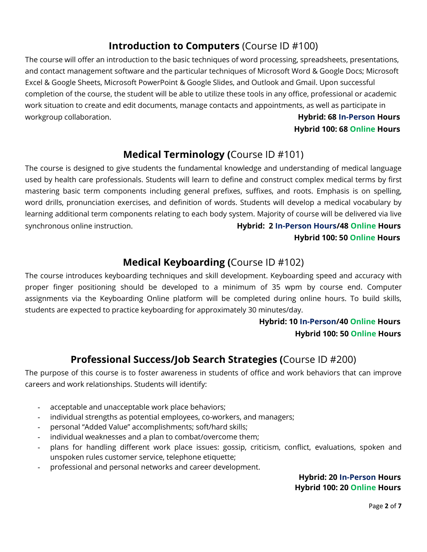## **Introduction to Computers** (Course ID #100)

The course will offer an introduction to the basic techniques of word processing, spreadsheets, presentations, and contact management software and the particular techniques of Microsoft Word & Google Docs; Microsoft Excel & Google Sheets, Microsoft PowerPoint & Google Slides, and Outlook and Gmail. Upon successful completion of the course, the student will be able to utilize these tools in any office, professional or academic work situation to create and edit documents, manage contacts and appointments, as well as participate in workgroup collaboration. **Hybrid: 68 In-Person Hours**

### **Hybrid 100: 68 Online Hours**

### **Medical Terminology (**Course ID #101)

The course is designed to give students the fundamental knowledge and understanding of medical language used by health care professionals. Students will learn to define and construct complex medical terms by first mastering basic term components including general prefixes, suffixes, and roots. Emphasis is on spelling, word drills, pronunciation exercises, and definition of words. Students will develop a medical vocabulary by learning additional term components relating to each body system. Majority of course will be delivered via live synchronous online instruction. **Hybrid: 2 In-Person Hours/48 Online Hours**

#### **Hybrid 100: 50 Online Hours**

### **Medical Keyboarding (**Course ID #102)

The course introduces keyboarding techniques and skill development. Keyboarding speed and accuracy with proper finger positioning should be developed to a minimum of 35 wpm by course end. Computer assignments via the Keyboarding Online platform will be completed during online hours. To build skills, students are expected to practice keyboarding for approximately 30 minutes/day.

#### **Hybrid: 10 In-Person/40 Online Hours Hybrid 100: 50 Online Hours**

### **Professional Success/Job Search Strategies (**Course ID #200)

The purpose of this course is to foster awareness in students of office and work behaviors that can improve careers and work relationships. Students will identify:

- acceptable and unacceptable work place behaviors;
- individual strengths as potential employees, co-workers, and managers;
- personal "Added Value" accomplishments; soft/hard skills;
- individual weaknesses and a plan to combat/overcome them;
- plans for handling different work place issues: gossip, criticism, conflict, evaluations, spoken and unspoken rules customer service, telephone etiquette;
- professional and personal networks and career development.

#### **Hybrid: 20 In-Person Hours Hybrid 100: 20 Online Hours**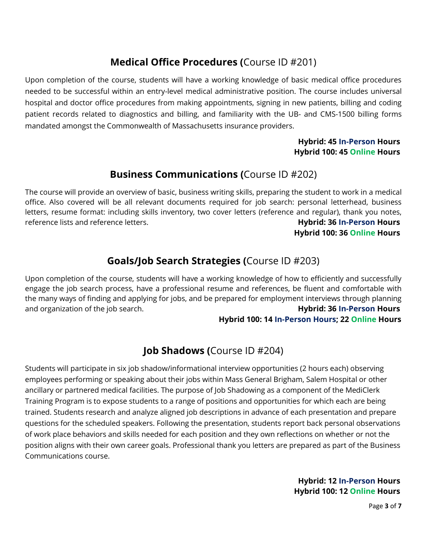## **Medical Office Procedures (**Course ID #201)

Upon completion of the course, students will have a working knowledge of basic medical office procedures needed to be successful within an entry-level medical administrative position. The course includes universal hospital and doctor office procedures from making appointments, signing in new patients, billing and coding patient records related to diagnostics and billing, and familiarity with the UB- and CMS-1500 billing forms mandated amongst the Commonwealth of Massachusetts insurance providers.

#### **Hybrid: 45 In-Person Hours Hybrid 100: 45 Online Hours**

### **Business Communications (**Course ID #202)

The course will provide an overview of basic, business writing skills, preparing the student to work in a medical office. Also covered will be all relevant documents required for job search: personal letterhead, business letters, resume format: including skills inventory, two cover letters (reference and regular), thank you notes, reference lists and reference letters. **Hybrid: 36 In-Person Hours** 

 **Hybrid 100: 36 Online Hours**

# **Goals/Job Search Strategies (**Course ID #203)

Upon completion of the course, students will have a working knowledge of how to efficiently and successfully engage the job search process, have a professional resume and references, be fluent and comfortable with the many ways of finding and applying for jobs, and be prepared for employment interviews through planning and organization of the job search. **Hybrid: 36 In-Person Hours**

#### **Hybrid 100: 14 In-Person Hours; 22 Online Hours**

### **Job Shadows (**Course ID #204)

Students will participate in six job shadow/informational interview opportunities (2 hours each) observing employees performing or speaking about their jobs within Mass General Brigham, Salem Hospital or other ancillary or partnered medical facilities. The purpose of Job Shadowing as a component of the MediClerk Training Program is to expose students to a range of positions and opportunities for which each are being trained. Students research and analyze aligned job descriptions in advance of each presentation and prepare questions for the scheduled speakers. Following the presentation, students report back personal observations of work place behaviors and skills needed for each position and they own reflections on whether or not the position aligns with their own career goals. Professional thank you letters are prepared as part of the Business Communications course.

> **Hybrid: 12 In-Person Hours Hybrid 100: 12 Online Hours**

> > Page **3** of **7**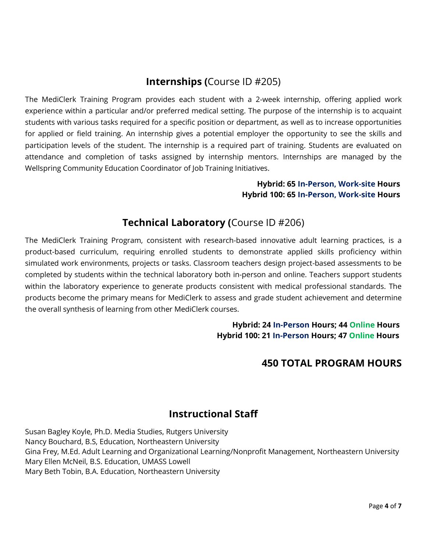### **Internships (**Course ID #205)

The MediClerk Training Program provides each student with a 2-week internship, offering applied work experience within a particular and/or preferred medical setting. The purpose of the internship is to acquaint students with various tasks required for a specific position or department, as well as to increase opportunities for applied or field training. An internship gives a potential employer the opportunity to see the skills and participation levels of the student. The internship is a required part of training. Students are evaluated on attendance and completion of tasks assigned by internship mentors. Internships are managed by the Wellspring Community Education Coordinator of Job Training Initiatives.

#### **Hybrid: 65 In-Person, Work-site Hours Hybrid 100: 65 In-Person, Work-site Hours**

### **Technical Laboratory (**Course ID #206)

The MediClerk Training Program, consistent with research-based innovative adult learning practices, is a product-based curriculum, requiring enrolled students to demonstrate applied skills proficiency within simulated work environments, projects or tasks. Classroom teachers design project-based assessments to be completed by students within the technical laboratory both in-person and online. Teachers support students within the laboratory experience to generate products consistent with medical professional standards. The products become the primary means for MediClerk to assess and grade student achievement and determine the overall synthesis of learning from other MediClerk courses.

> **Hybrid: 24 In-Person Hours; 44 Online Hours Hybrid 100: 21 In-Person Hours; 47 Online Hours**

### **450 TOTAL PROGRAM HOURS**

### **Instructional Staff**

Susan Bagley Koyle, Ph.D. Media Studies, Rutgers University Nancy Bouchard, B.S, Education, Northeastern University Gina Frey, M.Ed. Adult Learning and Organizational Learning/Nonprofit Management, Northeastern University Mary Ellen McNeil, B.S. Education, UMASS Lowell Mary Beth Tobin, B.A. Education, Northeastern University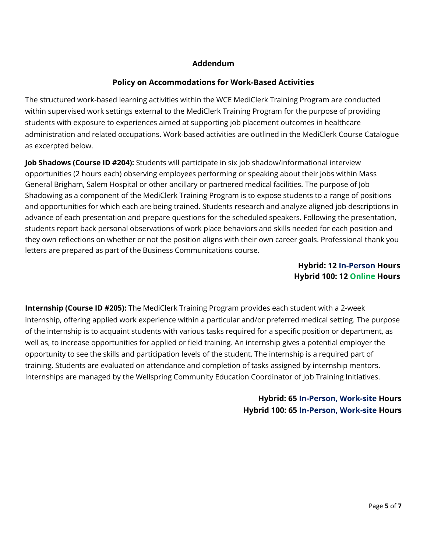#### **Addendum**

#### **Policy on Accommodations for Work-Based Activities**

The structured work-based learning activities within the WCE MediClerk Training Program are conducted within supervised work settings external to the MediClerk Training Program for the purpose of providing students with exposure to experiences aimed at supporting job placement outcomes in healthcare administration and related occupations. Work-based activities are outlined in the MediClerk Course Catalogue as excerpted below.

**Job Shadows (Course ID #204):** Students will participate in six job shadow/informational interview opportunities (2 hours each) observing employees performing or speaking about their jobs within Mass General Brigham, Salem Hospital or other ancillary or partnered medical facilities. The purpose of Job Shadowing as a component of the MediClerk Training Program is to expose students to a range of positions and opportunities for which each are being trained. Students research and analyze aligned job descriptions in advance of each presentation and prepare questions for the scheduled speakers. Following the presentation, students report back personal observations of work place behaviors and skills needed for each position and they own reflections on whether or not the position aligns with their own career goals. Professional thank you letters are prepared as part of the Business Communications course.

#### **Hybrid: 12 In-Person Hours Hybrid 100: 12 Online Hours**

**Internship (Course ID #205):** The MediClerk Training Program provides each student with a 2-week internship, offering applied work experience within a particular and/or preferred medical setting. The purpose of the internship is to acquaint students with various tasks required for a specific position or department, as well as, to increase opportunities for applied or field training. An internship gives a potential employer the opportunity to see the skills and participation levels of the student. The internship is a required part of training. Students are evaluated on attendance and completion of tasks assigned by internship mentors. Internships are managed by the Wellspring Community Education Coordinator of Job Training Initiatives.

#### **Hybrid: 65 In-Person, Work-site Hours Hybrid 100: 65 In-Person, Work-site Hours**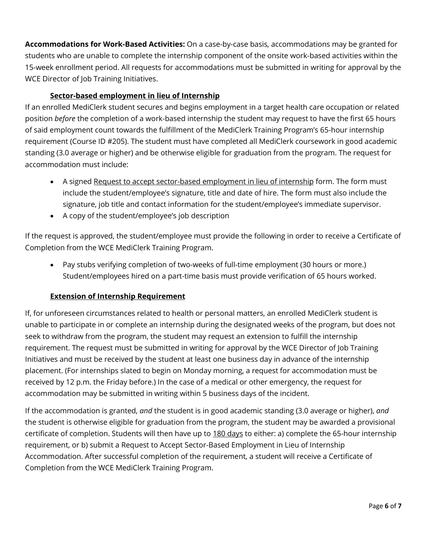**Accommodations for Work-Based Activities:** On a case-by-case basis, accommodations may be granted for students who are unable to complete the internship component of the onsite work-based activities within the 15-week enrollment period. All requests for accommodations must be submitted in writing for approval by the WCE Director of Job Training Initiatives.

#### **Sector-based employment in lieu of Internship**

If an enrolled MediClerk student secures and begins employment in a target health care occupation or related position *before* the completion of a work-based internship the student may request to have the first 65 hours of said employment count towards the fulfillment of the MediClerk Training Program's 65-hour internship requirement (Course ID #205). The student must have completed all MediClerk coursework in good academic standing (3.0 average or higher) and be otherwise eligible for graduation from the program. The request for accommodation must include:

- A signed Request to accept sector-based employment in lieu of internship form. The form must include the student/employee's signature, title and date of hire. The form must also include the signature, job title and contact information for the student/employee's immediate supervisor.
- A copy of the student/employee's job description

If the request is approved, the student/employee must provide the following in order to receive a Certificate of Completion from the WCE MediClerk Training Program.

• Pay stubs verifying completion of two-weeks of full-time employment (30 hours or more.) Student/employees hired on a part-time basis must provide verification of 65 hours worked.

#### **Extension of Internship Requirement**

If, for unforeseen circumstances related to health or personal matters, an enrolled MediClerk student is unable to participate in or complete an internship during the designated weeks of the program, but does not seek to withdraw from the program, the student may request an extension to fulfill the internship requirement. The request must be submitted in writing for approval by the WCE Director of Job Training Initiatives and must be received by the student at least one business day in advance of the internship placement. (For internships slated to begin on Monday morning, a request for accommodation must be received by 12 p.m. the Friday before.) In the case of a medical or other emergency, the request for accommodation may be submitted in writing within 5 business days of the incident.

If the accommodation is granted, *and* the student is in good academic standing (3.0 average or higher), *and*  the student is otherwise eligible for graduation from the program, the student may be awarded a provisional certificate of completion. Students will then have up to 180 days to either: a) complete the 65-hour internship requirement, or b) submit a Request to Accept Sector-Based Employment in Lieu of Internship Accommodation. After successful completion of the requirement, a student will receive a Certificate of Completion from the WCE MediClerk Training Program.